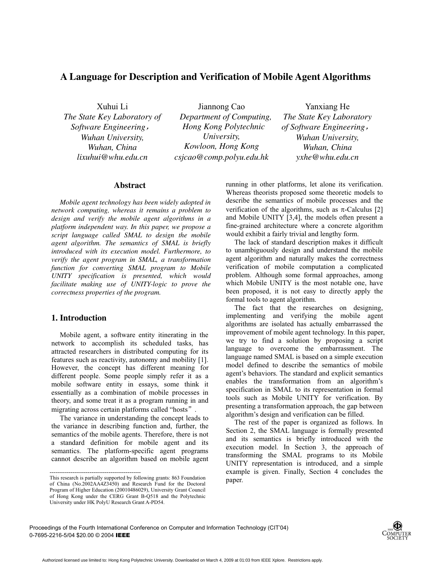# **A Language for Description and Verification of Mobile Agent Algorithms**

*The State Key Laboratory of Software Engineering, Wuhan University, Wuhan, China*

Xuhui Li Jiannong Cao Yanxiang He *Department of Computing, Hong Kong Polytechnic University, Kowloon, Hong Kong lixuhui@whu.edu.cn csjcao@comp.polyu.edu.hk yxhe@whu.edu.cn*

*The State Key Laboratory of Software Engineering*, *Wuhan University, Wuhan, China*

## **Abstract**

*Mobile agent technology has been widely adopted in network computing, whereas it remains a problem to design and verify the mobile agent algorithms in a platform independent way. In this paper, we propose a script language called SMAL to design the mobile agent algorithm. The semantics of SMAL is briefly introduced with its execution model. Furthermore, to verify the agent program in SMAL, a transformation function for converting SMAL program to Mobile UNITY specification is presented, which would facilitate making use of UNITY-logic to prove the correctness properties of the program.*

## **1. Introduction**

Mobile agent, a software entity itinerating in the network to accomplish its scheduled tasks, has attracted researchers in distributed computing for its features such as reactivity, autonomy and mobility [1]. However, the concept has different meaning for different people. Some people simply refer it as a mobile software entity in essays, some think it essentially as a combination of mobile processes in theory, and some treat it as a program running in and migrating across certain platforms called "hosts".

The variance in understanding the concept leads to the variance in describing function and, further, the semantics of the mobile agents. Therefore, there is not a standard definition for mobile agent and its semantics. The platform-specific agent programs cannot describe an algorithm based on mobile agent running in other platforms, let alone its verification. Whereas theorists proposed some theoretic models to describe the semantics of mobile processes and the verification of the algorithms, such as  $\pi$ -Calculus [2] and Mobile UNITY [3,4], the models often present a fine-grained architecture where a concrete algorithm would exhibit a fairly trivial and lengthy form.

The lack of standard description makes it difficult to unambiguously design and understand the mobile agent algorithm and naturally makes the correctness verification of mobile computation a complicated problem. Although some formal approaches, among which Mobile UNITY is the most notable one, have been proposed, it is not easy to directly apply the formal tools to agent algorithm.

The fact that the researches on designing, implementing and verifying the mobile agent algorithms are isolated has actually embarrassed the improvement of mobile agent technology. In this paper, we try to find a solution by proposing a script language to overcome the embarrassment. The language named SMAL is based on a simple execution model defined to describe the semantics of mobile agent's behaviors. The standard and explicit semantics enables the transformation from an algorithm's specification in SMAL to its representation in formal tools such as Mobile UNITY for verification. By presenting a transformation approach, the gap between algorithm's design and verification can be filled.

The rest of the paper is organized as follows. In Section 2, the SMAL language is formally presented and its semantics is briefly introduced with the execution model. In Section 3, the approach of transforming the SMAL programs to its Mobile UNITY representation is introduced, and a simple example is given. Finally, Section 4 concludes the paper.



<sup>------------------------------------------------</sup> This research is partially supported by following grants: 863 Foundation of China (No.2002AA4Z3450) and Research Fund for the Doctoral Program of Higher Education (20010486029), University Grant Council of Hong Kong under the CERG Grant B-Q518 and the Polytechnic University under HK PolyU Research Grant A-PD54.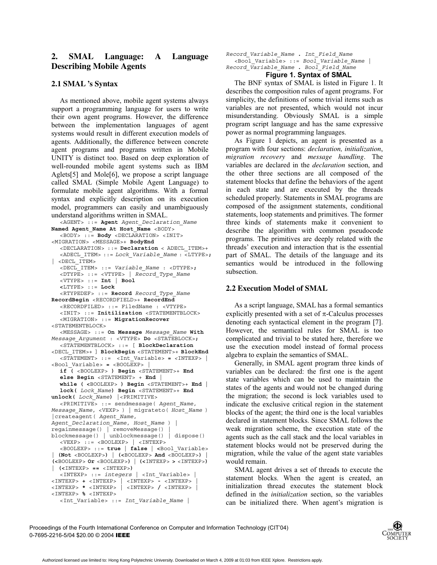## **2. SMAL Language: A Language Describing Mobile Agents**

## **2.1 SMAL 's Syntax**

As mentioned above, mobile agent systems always support a programming language for users to write their own agent programs. However, the difference between the implementation languages of agent systems would result in different execution models of agents. Additionally, the difference between concrete agent programs and programs written in Mobile UNITY is distinct too. Based on deep exploration of well-rounded mobile agent systems such as IBM Aglets[5] and Mole[6], we propose a script language called SMAL (Simple Mobile Agent Language) to formulate mobile agent algorithms. With a formal syntax and explicitly description on its execution model, programmers can easily and unambiguously understand algorithms written in SMAL.

```
<AGENT> ::= Agent Agent_Declaration_Name
Named Agent_Name At Host_Name <BODY>
  <BODY> ::= Body <DECLARATION> <INIT> 
<MIGRATION> <MESSAGE>+ BodyEnd
  <DECLARATION> ::= Declaration < ADECL_ITEM>+
  <ADECL_ITEM> ::= Lock_Variable_Name : <LTYPE>;
| <DECL_ITEM>
  <DECL_ITEM> ::= Variable_Name : <DTYPE>;
  <DTYPE> ::= <VTYPE> | Record_Type_Name
  <VTYPE> ::= Int | Bool
  <LTYPE> ::= Lock
  <RTYPEDEF> ::= Record Record_Type_Name
RecordBegin <RECORDFIELD>+ RecordEnd
  <RECORDFILED> ::= FiledName : <VTYPE> 
  <INIT> ::= Initilization <STATEMENTBLOCK> 
  <MIGRATION> ::= MigrationRecover
<STATEMENTBLOCK>
  <MESSAGE> ::= On Message Message_Name With
Message_Argument : <VTYPE> Do <STATEBLOCK>;
  <STATEMENTBLOCK> ::= [ BlockDeclaration
<DECL_ITEM>+ ] BlockBegin <STATEMENT>+ BlockEnd
  <STATEMENT> ::= <Int_Variable> = <INTEXP> | 
\texttt{<Bool\_Variable>} = \texttt{<BOOLEXP>}if ( <BOOLEXP> ) Begin <STATEMENT>+ End
  else Begin <STATEMENT> + End | 
  while ( <BOOLEXP> ) Begin <STATEMENT>+ End | 
  lock( Lock_Name) Begin <STATEMENT>+ End
unlock( Lock_Name) |<PRIMITIVE>
  <PRIMITIVE> ::= sendmessage( Agent_Name,
Message_Name, <VEXP> ) | migrateto( Host_Name ) 
|createagent( Agent_Name,
Agent_Declaration_Name, Host_Name ) | 
regainmessage() | removeMessage() | 
blockmessage() | unblockmessage() | dispose() 
  <VEXP> ::= <BOOLEXP> | <INTEXP>
  <BOOLEXP> ::= true | false | <Bool_Variable>
| (Not <BOOLEXP>) | (<BOOLEXP> And <BOOLEXP>) | 
(<BOOLEXP> Or <BOOLEXP>) | (<INTEXP> > <INTEXP>)
| (<INTEXP> == <INTEXP>)
  <INTEXP> ::= integers | <Int_Variable> | 
<INTEXP> + <INTEXP> | <INTEXP> - <INTEXP> | 
<INTEXP> * <INTEXP> | <INTEXP> / <INTEXP> | 
<INTEXP> % <INTEXP> 
  <Int_Variable> ::= Int_Variable_Name |
```
*Record\_Variable\_Name* **.** *Int\_Field\_Name* <Bool\_Variable> ::= *Bool\_Variable\_Name* | *Record\_Variable\_Name* **.** *Bool\_Field\_Name*

The BNF syntax of SMAL is listed in Figure 1. It describes the composition rules of agent programs. For simplicity, the definitions of some trivial items such as variables are not presented, which would not incur misunderstanding. Obviously SMAL is a simple program script language and has the same expressive power as normal programming languages.

As Figure 1 depicts, an agent is presented as a program with four sections: *declaration, initialization*, *migration recovery* and *message handling*. The variables are declared in the *declaration* section, and the other three sections are all composed of the statement blocks that define the behaviors of the agent in each state and are executed by the threads scheduled properly. Statements in SMAL programs are composed of the assignment statements, conditional statements, loop statements and primitives. The former three kinds of statements make it convenient to describe the algorithm with common pseudocode programs. The primitives are deeply related with the threads' execution and interaction that is the essential part of SMAL. The details of the language and its semantics would be introduced in the following subsection.

## **2.2 Execution Model of SMAL**

As a script language, SMAL has a formal semantics explicitly presented with a set of  $\pi$ -Calculus processes denoting each syntactical element in the program [7]. However, the semantical rules for SMAL is too complicated and trivial to be stated here, therefore we use the execution model instead of formal process algebra to explain the semantics of SMAL.

Generally, in SMAL agent program three kinds of variables can be declared: the first one is the agent state variables which can be used to maintain the states of the agents and would not be changed during the migration; the second is lock variables used to indicate the exclusive critical region in the statement blocks of the agent; the third one is the local variables declared in statement blocks. Since SMAL follows the weak migration scheme, the execution state of the agents such as the call stack and the local variables in statement blocks would not be preserved during the migration, while the value of the agent state variables would remain.

SMAL agent drives a set of threads to execute the statement blocks. When the agent is created, an initialization thread executes the statement block defined in the *initialization* section, so the variables can be initialized there. When agent's migration is

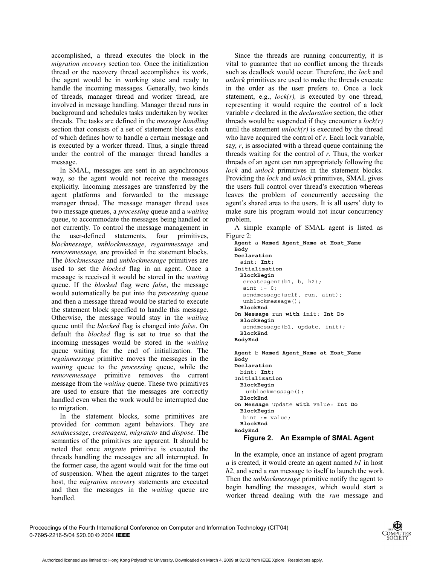accomplished, a thread executes the block in the *migration recovery* section too. Once the initialization thread or the recovery thread accomplishes its work, the agent would be in working state and ready to handle the incoming messages. Generally, two kinds of threads, manager thread and worker thread, are involved in message handling. Manager thread runs in background and schedules tasks undertaken by worker threads. The tasks are defined in the *message handling* section that consists of a set of statement blocks each of which defines how to handle a certain message and is executed by a worker thread. Thus, a single thread under the control of the manager thread handles a message.

In SMAL, messages are sent in an asynchronous way, so the agent would not receive the messages explicitly. Incoming messages are transferred by the agent platforms and forwarded to the message manager thread. The message manager thread uses two message queues, a *processing* queue and a *waiting* queue, to accommodate the messages being handled or not currently. To control the message management in the user-defined statements, four primitives, *blockmessage*, *unblockmessage*, *regainmessage* and *removemessage,* are provided in the statement blocks. The *blockmessage* and *unblockmessage* primitives are used to set the *blocked* flag in an agent. Once a message is received it would be stored in the *waiting* queue. If the *blocked* flag were *false*, the message would automatically be put into the *processing* queue and then a message thread would be started to execute the statement block specified to handle this message. Otherwise, the message would stay in the *waiting* queue until the *blocked* flag is changed into *false*. On default the *blocked* flag is set to true so that the incoming messages would be stored in the *waiting* queue waiting for the end of initialization. The *regainmessage* primitive moves the messages in the *waiting* queue to the *processing* queue, while the *removemessage* primitive removes the current message from the *waiting* queue. These two primitives are used to ensure that the messages are correctly handled even when the work would be interrupted due to migration.

In the statement blocks, some primitives are provided for common agent behaviors. They are *sendmessage*, *createagent*, *migrateto* and *dispose.* The semantics of the primitives are apparent. It should be noted that once *migrate* primitive is executed the threads handling the messages are all interrupted. In the former case, the agent would wait for the time out of suspension. When the agent migrates to the target host, the *migration recovery* statements are executed and then the messages in the *waiting* queue are handled.

Since the threads are running concurrently, it is vital to guarantee that no conflict among the threads such as deadlock would occur. Therefore, the *lock* and *unlock* primitives are used to make the threads execute in the order as the user prefers to. Once a lock statement, e.g., *lock(r),* is executed by one thread, representing it would require the control of a lock variable *r* declared in the *declaration* section, the other threads would be suspended if they encounter a *lock(r)* until the statement *unlock(r)* is executed by the thread who have acquired the control of *r*. Each lock variable, say, *r*, is associated with a thread queue containing the threads waiting for the control of *r*. Thus, the worker threads of an agent can run appropriately following the *lock* and *unlock* primitives in the statement blocks. Providing the *lock* and *unlock* primitives, SMAL gives the users full control over thread's execution whereas leaves the problem of concurrently accessing the agent's shared area to the users. It is all users' duty to make sure his program would not incur concurrency problem.

A simple example of SMAL agent is listed as Figure 2:

```
Agent a Named Agent_Name at Host_Name
Body
Declaration
  aint: Int;
Initialization
 BlockBegin 
  createagent(b1, b, h2); 
  aint := 0;sendmessage(self, run, aint); 
  unblockm
essage();
 BlockEnd
On Message run with init: Int Do
 BlockBegin 
  sendmessage(b1, update, init); 
 BlockEnd
BodyEnd
Agent b Named Agent_Name at Host_Name
Body
Declaration
  bint: Int;
Initialization
 BlockBegin 
    unblockmessage(); 
On Message update with value: Int Do
 BlockEnd
 BlockBegin 
  bint := 
value;
 BlockEnd
BodyEnd
  Figure 2. An Example of SMAL Agent
```
In the example, once an instance of agent program *a* is created, it would create an agent named *b1* in host *h2*, and send a *run* message to itself to launch the work. Then the *unblockmessage* primitive notify the agent to begin handling the messages, which would start a worker thread dealing with the *run* message and

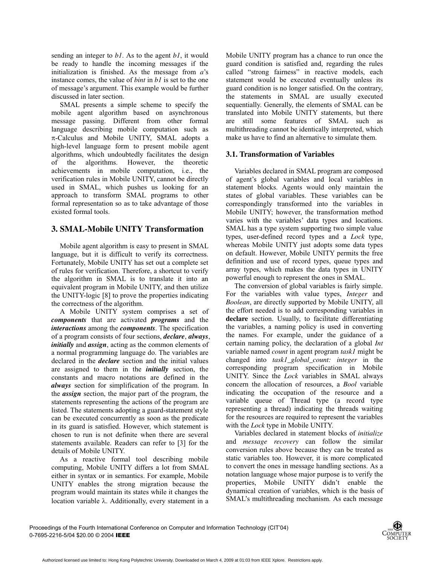sending an integer to *b1*. As to the agent *b1*, it would be ready to handle the incoming messages if the initialization is finished. As the message from *a*'s instance comes, the value of *bint* in *b1* is set to the one of message's argument. This example would be further discussed in later section.

SMAL presents a simple scheme to specify the mobile agent algorithm based on asynchronous message passing. Different from other formal language describing mobile computation such as  $\pi$ -Calculus and Mobile UNITY, SMAL adopts a high-level language form to present mobile agent algorithms, which undoubtedly facilitates the design of the algorithms. However, the theoretic achievements in mobile computation, i.e., the verification rules in Mobile UNITY, cannot be directly used in SMAL, which pushes us looking for an approach to transform SMAL programs to other formal representation so as to take advantage of those existed formal tools.

# **3. SMAL-Mobile UNITY Transformation**

Mobile agent algorithm is easy to present in SMAL language, but it is difficult to verify its correctness. Fortunately, Mobile UNITY has set out a complete set of rules for verification. Therefore, a shortcut to verify the algorithm in SMAL is to translate it into an equivalent program in Mobile UNITY, and then utilize the UNITY-logic [8] to prove the properties indicating the correctness of the algorithm.

A Mobile UNITY system comprises a set of *components* that are activated *programs* and the *interactions* among the *components*. The specification of a program consists of four sections, *declare*, *always*, *initially* and *assign*, acting as the common elements of a normal programming language do. The variables are declared in the *declare* section and the initial values are assigned to them in the *initially* section, the constants and macro notations are defined in the *always* section for simplification of the program. In the *assign* section, the major part of the program, the statements representing the actions of the program are listed. The statements adopting a guard-statement style can be executed concurrently as soon as the predicate in its guard is satisfied. However, which statement is chosen to run is not definite when there are several statements available. Readers can refer to [3] for the details of Mobile UNITY.

As a reactive formal tool describing mobile computing, Mobile UNITY differs a lot from SMAL either in syntax or in semantics. For example, Mobile UNITY enables the strong migration because the program would maintain its states while it changes the location variable  $\lambda$ . Additionally, every statement in a

Mobile UNITY program has a chance to run once the guard condition is satisfied and, regarding the rules called "strong fairness" in reactive models, each statement would be executed eventually unless its guard condition is no longer satisfied. On the contrary, the statements in SMAL are usually executed sequentially. Generally, the elements of SMAL can be translated into Mobile UNITY statements, but there are still some features of SMAL such as multithreading cannot be identically interpreted, which make us have to find an alternative to simulate them.

## **3.1. Transformation of Variables**

Variables declared in SMAL program are composed of agent's global variables and local variables in statement blocks. Agents would only maintain the states of global variables. These variables can be correspondingly transformed into the variables in Mobile UNITY; however, the transformation method varies with the variables' data types and locations. SMAL has a type system supporting two simple value types, user-defined record types and a *Lock* type, whereas Mobile UNITY just adopts some data types on default. However, Mobile UNITY permits the free definition and use of record types, queue types and array types, which makes the data types in UNITY powerful enough to represent the ones in SMAL.

The conversion of global variables is fairly simple. For the variables with value types, *Integer* and *Boolean*, are directly supported by Mobile UNITY, all the effort needed is to add corresponding variables in declare section. Usually, to facilitate differentiating the variables, a naming policy is used in converting the names. For example, under the guidance of a certain naming policy, the declaration of a global *Int* variable named *count* in agent program *task1* might be changed into *task1\_global\_count: integer* in the corresponding program specification in Mobile UNITY. Since the *Lock* variables in SMAL always concern the allocation of resources, a *Bool* variable indicating the occupation of the resource and a variable queue of Thread type (a record type representing a thread) indicating the threads waiting for the resources are required to represent the variables with the *Lock* type in Mobile UNITY.

Variables declared in statement blocks of *initialize* and *message recovery* can follow the similar conversion rules above because they can be treated as static variables too. However, it is more complicated to convert the ones in message handling sections. As a notation language whose major purpose is to verify the properties, Mobile UNITY didn't enable the dynamical creation of variables, which is the basis of SMAL's multithreading mechanism. As each message

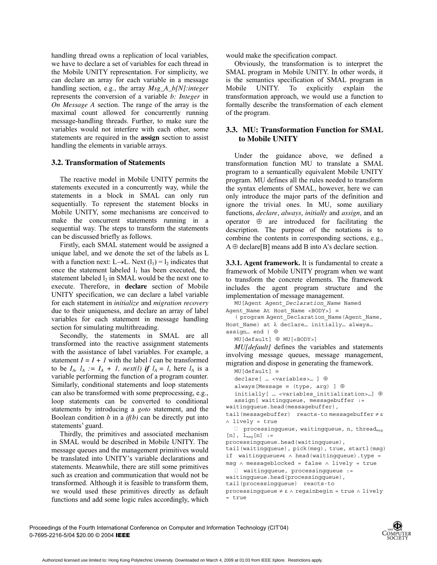handling thread owns a replication of local variables, we have to declare a set of variables for each thread in the Mobile UNITY representation. For simplicity, we can declare an array for each variable in a message handling section, e.g., the array *Msg\_A\_b[N]:integer* represents the conversion of a variable *b: Integer* in *On Message A* section. The range of the array is the maximal count allowed for concurrently running message-handling threads. Further, to make sure the variables would not interfere with each other, some statements are required in the **assign** section to assist handling the elements in variable arrays.

#### **3.2. Transformation of Statements**

The reactive model in Mobile UNITY permits the statements executed in a concurrently way, while the statements in a block in SMAL can only run sequentially. To represent the statement blocks in Mobile UNITY, some mechanisms are conceived to make the concurrent statements running in a sequential way. The steps to transform the statements can be discussed briefly as follows.

Firstly, each SMAL statement would be assigned a unique label, and we denote the set of the labels as L with a function next: L $\rightarrow$ L. Next (l<sub>1</sub>) = l<sub>2</sub> indicates that once the statement labeled  $l_1$  has been executed, the statement labeled  $l_2$  in SMAL would be the next one to execute. Therefore, in **declare** section of Mobile UNITY specification, we can declare a label variable for each statement in *initialize* and *migration recovery* due to their uniqueness, and declare an array of label variables for each statement in message handling section for simulating multithreading.

Secondly, the statements in SMAL are all transformed into the reactive assignment statements with the assistance of label variables. For example, a statement  $I = I + I$  with the label *l* can be transformed to be  $I_A$ ,  $I_A := I_A + I$ ,  $next(l)$  if  $I_A = I$ , here  $I_A$  is a variable performing the function of a program counter. Similarly, conditional statements and loop statements can also be transformed with some preprocessing, e.g., loop statements can be converted to conditional statements by introducing a *goto* statement, and the Boolean condition *b* in a *if(b)* can be directly put into statements' guard.

Thirdly, the primitives and associated mechanism in SMAL would be described in Mobile UNITY. The message queues and the management primitives would be translated into UNITY's variable declarations and statements. Meanwhile, there are still some primitives such as creation and communication that would not be transformed. Although it is feasible to transform them, we would used these primitives directly as default functions and add some logic rules accordingly, which would make the specification compact.

Obviously, the transformation is to interpret the SMAL program in Mobile UNITY. In other words, it is the semantics specification of SMAL program in Mobile UNITY. To explicitly explain the transformation approach, we would use a function to formally describe the transformation of each element of the program.

## **3.3. MU: Transformation Function for SMAL to Mobile UNITY**

Under the guidance above, we defined a transformation function MU to translate a SMAL program to a semantically equivalent Mobile UNITY program. MU defines all the rules needed to transform the syntax elements of SMAL, however, here we can only introduce the major parts of the definition and ignore the trivial ones. In MU, some auxiliary functions, *declare*, *always*, *initially* and *assign*, and an operator  $\oplus$  are introduced for facilitating the description. The purpose of the notations is to combine the contents in corresponding sections, e.g.,  $A \oplus$  declare[B] means add B into A's declare section.

**3.3.1. Agent framework.** It is fundamental to create a framework of Mobile UNITY program when we want to transform the concrete elements. The framework includes the agent program structure and the implementation of message management.

MU[Agent *Agent\_Declaration\_Name* Named Agent Name At Host Name <BODY>]  $\equiv$ 

( program Agent\_Declaration\_Name(Agent\_Name, Host Name) at  $\lambda$  declare… initially… always… assign… end )

MU[default] MU[<BODY>]

*MU[default]* defines the variables and statements involving message queues, message management, migration and dispose in generating the framework.

```
MU[default] \equivdeclare[ … <variables>… ] 
   always[Message \equiv (type, arg) ] \oplusinitially[ ... <variables initialization>...] \oplusassign[ waitingqueue, messagebuffer := 
waitingqueue.head(messagebuffer),
tail(messagebuffer) reacts-to messagebuffer \neq \varepsilon\land lively = true
  \Box processingqueue, waitingqueue, n, thread<sub>msq</sub>
[n] , \mathbbm{1}_{\text{msg}}[n] :=
processingqueue.head(waitingqueue),
tail(waitingqueue), pick(msg), true, startl(msg) 
if waitingqueue\neq \land head(waitingqueue).type =
msg \wedge messageblocked = false \wedge lively = true waitingqueue, processingqueue := 
waitingqueue.head(processingqueue),
tail(processingqueue) reacts-to 
processingqueue \neq \varepsilon \wedge regainbegin = true \wedge lively
= true
```
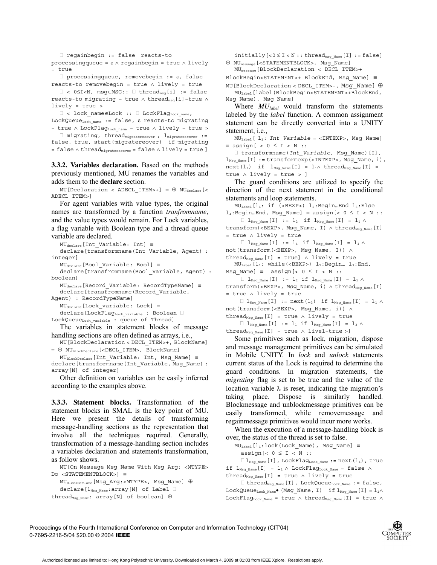```
 regainbegin := false reacts-to 
processingqueue = \epsilon \wedge regainbegin = true \wedge lively
= true
```

```
\Box processingqueue, removebegin := \varepsilon, false
reacts-to removebegin = true \land lively = true
```
 $\Box$  <  $0 \leq I \leq N$ , msg $\in \text{MSG}: \Box$  thread<sub>msg</sub>[i] := false reacts-to migrating = true  $\land$  thread<sub>msg</sub>[i]=true  $\land$ lively = true >

 $\square$  < lock\_name=Lock ::  $\square$  LockFlag<sub>lock name,</sub>

LockQueue<sub>lock name</sub> := false,  $\varepsilon$  reacts-to migrating = true  $\land$  LockFlag<sub>lock</sub> name = true  $\land$  lively = true >  $\Box$  migrating, thread<sub>migraterecover</sub>,  $l_{\text{mixturecover}}$  :=

```
false, true, start(migratereover) if migrating 
= false \land thread _{\mathtt{migraterecover}} = false \land lively = true ]
```
**3.3.2. Variables declaration.** Based on the methods previously mentioned, MU renames the variables and adds them to the **declare** section.

MU[Declaration < ADECL ITEM>+]  $\equiv \bigoplus$  MU<sub>declare</sub> [< ADECL\_ITEM>]

For agent variables with value types, the original names are transformed by a function *tranfromname*, and the value types would remain. For Lock variables, a flag variable with Boolean type and a thread queue variable are declared.

 $MU_{\text{declare}}$ [Int Variable: Int]  $\equiv$ declare[transformname(Int Variable, Agent) : integer]

 $MU_{\text{declare}}$  [Bool Variable: Bool]  $\equiv$ 

declare[transfromname(Bool Variable, Agent) : boolean]

```
MU_{\text{declace}}[Record_Variable: RecordTypeName] \equivdeclare[transfromname(Record_Variable,
Agent) : RecordTypeName]
```
 $MU_{\text{declace}}$ [Lock\_variable: Lock]  $\equiv$  $\texttt{declarge}$  [LockFlag $\texttt{Lock\_variable}$  : Boolean  $\Box$ 

LockQueue<sub>Lock variable</sub> : queue of Thread]

The variables in statement blocks of message handling sections are often defined as arrays, i.e.,

MU[BlockDeclaration < DECL\_ITEM>+, BlockName]  $\equiv \oplus$  MU<sub>BlockDeclare</sub> [<DECL\_ITEM>, BlockName]

 $MU_{\text{BlockDechar}}$ [Int\_Variable: Int, Msg\_Name]  $\equiv$ declare[transformname(Int\_Variable, Msg\_Name) : array[N] of integer]

Other definition on variables can be easily inferred according to the examples above.

**3.3.3. Statement blocks.** Transformation of the statement blocks in SMAL is the key point of MU. Here we present the details of transforming message-handling sections as the representation that involve all the techniques required. Generally, transformation of a message-handling section includes a variables declaration and statements transformation, as follow shows.

MU[On Message Msg\_Name With Msg\_Arg: <MTYPE>  $Do$  <STATEMENTBLOCK>]  $\equiv$ 

```
MU_{\text{BlockDeclare}} [Msg_Arg:<MTYPE>, Msg_Name] \oplusdeclare [1_{Msg\ Name}:array[N] of Label \squarethread<sub>Msg Name</sub>: array[N] of boolean] \oplus
```
 $intially[<0 \le I < N :: thread_{msg\_Name}[I] := false]$ 

 $\oplus$  MU<sub>message</sub> [<STATEMENTBLOCK>, Msg Name] MUmessage[BlockDeclaration < DECL\_ITEM>+

 $BlockBegin < STATEMENT > + BlockEnd, MsqName] \equiv$ 

```
MU[BlockDeclaration < DECL ITEM > +, Msg Name] \oplusMUlabel[label(BlockBegin<STATEMENT>+BlockEnd,
Msg Name), Msg Name]
```
Where *MUlabel* would transform the statements labeled by the *label* function. A common assignment statement can be directly converted into a UNITY statement, i.e.,

MUlabel[ l1: *Int\_Variable* = <INTEXP>, Msg\_Name]  $\equiv$  assign[ < 0  $\le$  I < N ::

 transformname(*Int\_Variable,* Msg\_Name)[I],  $l_{Msg\_Name}[I] := transformexp($ ,  $Msg\_Name, i)$ ,  $next(1<sub>1</sub>)$  if  $1<sub>Msg_name</sub>[I] = 1<sub>1</sub> \land threead<sub>Msg_name</sub>[I] =$ true  $\land$  lively = true > ]

The guard conditions are utilized to specify the direction of the next statement in the conditional statements and loop statements.

```
MU<sub>label</sub> [l<sub>1</sub>: if (<i>BEXP</i>) l<sub>2</sub>:Begin...End l<sub>3</sub>:Elsel_4: Begin... End, Msg Name] \equiv assign [< 0 \leq I < N ::
        \Box l<sub>Msq</sub> Name [I] := l<sub>2</sub> if l<sub>Msq Name</sub> [I] = l<sub>1</sub> \land
```
transform(<BEXP>, Msg\_Name, I)  $\land$  thread<sub>Msq\_Name</sub>[I]  $=$  true  $\land$  lively  $=$  true

 $\Box$  l<sub>Msg</sub> Name [I] := l<sub>4</sub> if l<sub>Msg Name</sub> [I] = l<sub>1</sub>  $\land$ not(transform(<BEXP>, Msg Name, I))  $\land$ 

thread<sub>Msg Name</sub> [I] = true]  $\land$  lively = true

 $MU<sub>label</sub> [l<sub>1</sub>: while (*BEXP*) l<sub>2</sub>:Begin... l<sub>3</sub>:End,$ Msg Name]  $\equiv$  assign[< 0  $\le$  I < N ::

```
\Box l<sub>Msg</sub> Name [I] := l<sub>2</sub> if l<sub>Msg Name</sub> [I] = l<sub>1</sub> \landtransform(<b>BEXP</b>), <b>Msg_Name</b>, i) <math>\land</math> thread<sub>Msg_Name</sub>[I]
```

```
= true \land lively = true
               \Box \text{ } \mathbf{1}_{\text{Msg\_Name}} \texttt{[I]} \texttt{ } := \texttt{next} \texttt{ (l_3) } \texttt{ if } \texttt{ } \mathbf{1}_{\text{Msg\_Name}} \texttt{[I]} \texttt{ } = \texttt{ } \mathbf{1}_{\texttt{1}} \wedge
```
not(transform(<BEXP>, Msg\_Name, i))  $\land$ 

```
thread<sub>Msq</sub> Name [I] = true \land lively = true
       \Box l<sub>Msg_Name</sub> [I] := 1<sub>1</sub> if l<sub>Msg_Name</sub> [I] = 1<sub>3</sub> \landthread<sub>Msq</sub> Name [I] = true \land livel=true >]
```
Some primitives such as lock, migration, dispose and message management primitives can be simulated in Mobile UNITY. In *lock* and *unlock* statements current status of the Lock is required to determine the guard conditions. In migration statements, the *migrating* flag is set to be true and the value of the location variable  $\lambda$  is reset, indicating the migration's taking place. Dispose is similarly handled. Blockmessage and unblockmessage primitives can be easily transformed, while removemessage and regainmessage primitives would incur more works.

When the execution of a message-handling block is over, the status of the thread is set to false.

```
MU<sub>label</sub>[1:lock(Lock Name), Msg Name] \equiv
```
assign[ $< 0 \le I < N$  ::

```
\Box l<sub>Msg_Name</sub> [I], LockFlag<sub>Lock_Name</sub> := next(l<sub>1</sub>), true
if l_{\text{Msg Name}}[I] = l_1 \wedge \text{LockFlag}_{\text{Lock Name}} = \text{false} \wedgethread<sub>Msq</sub> Name [I] = true \land lively = true
```

```
\Box thread<sub>Msg_Name</sub> [I], LockQueue<sub>Lock_Name</sub> := false,
\texttt{LockQueue}_{\texttt{Lock\_Name}} \bullet (\texttt{Msg\_Name},\ \mathbb{I}) \quad \text{if } \texttt{l}_{\texttt{Msg\_Name}}[\mathbb{I}] = \texttt{l}_1 \landLockFlagLock_Name = true \land thread<sub>Msg_Name</sub>[I] = true \land
```
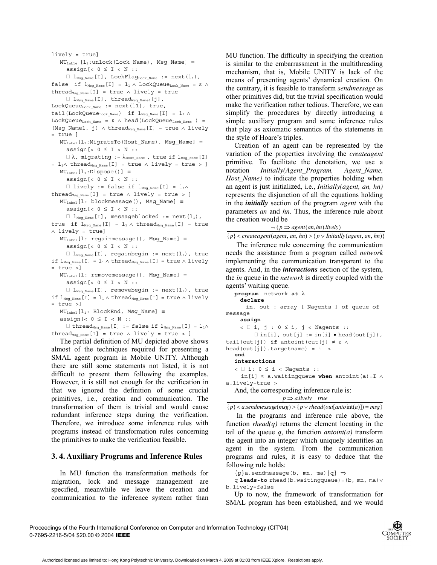```
lively = true] 
    MU<sub>label</sub> [l<sub>1</sub>:unlock(Lock Name), Msg Name] \equivassign[<0 \le I \le N ::
       \Box l<sub>Msg</sub> Name [I], LockFlag<sub>Lock</sub> Name := next(l<sub>1</sub>),
false if l_{Msg\text{ Name}}[I] = l_1 \wedge \text{LockQueue}_{\text{Lock\text{ Name}}} = \varepsilon \wedgethread<sub>Msg Name</sub> [I] = true \land lively = true
       \Box l<sub>Msg Name</sub> [I], thread<sub>Msg Name1</sub> [j],
LockQueue_{Lock\_Name} := next(11), true,
tail(LockQueue<sub>Lock_Name</sub>) if l_{\tt{Msg\_Name}}[I] = l_1 \wedgeLockQueue<sub>Lock Name</sub> = \epsilon \wedge head(LockQueue<sub>Lock Name</sub> ) =
(Msg Name1, j) \land thread<sub>Msg_Name</sub>[I] = true \land lively
= true ]
   MU<sub>label</sub>[l<sub>1</sub>:MigrateTo(Host_Name), Msg_Name] \equivassign[< 0 \le I \le N ::
       \Box \lambda, migrating := \lambda_{\texttt{Host\_Name}} , true if 1_{\texttt{Msg\_Name}} [I]
= l_1 \wedge thread<sub>Msg_Name</sub>[I] = true \wedge lively = true > ]
    MU<sub>label</sub>[1:Dispose()] =assign[<0 \le I \le N ::
       \Box lively := false if l_{Msg\_Name}[I] = l_1 \wedgethread<sub>Msg_Name</sub>[I] = true \land lively = true > ]
    MU<sub>label</sub> [1: blockmessage(), Msg Name] \equivassign[<0 \le I \le N ::
       \Box l<sub>Msg Name</sub> [I], messageblocked := next(l<sub>1</sub>),
true if l_{Msg\ Name}[I] = l_1 \wedge \ thread_{Msg\ Name}[I] = true\land lively = true]
    MU<sub>label</sub>[1: regainmessage(), Msg_Name] \equivassign[<0 \le I \le N ::
       \Box l<sub>Msg Name</sub>[I], regainbegin := next(l<sub>1</sub>), true
if l_{Msg\_Name}[I] = l_1 \wedge \text{thread}_{Msg\_Name}[I] = \text{true} \wedge \text{levely}= true >1MU<sub>label</sub>[1: remember <math>[1:1]</math> represents a specific function of <math>[0, 1]</math> and <math>[1, 2]</math> is a specific function of <math>[0, 1]</math>.assign[<0 \le I \le N ::
       \Box l<sub>Msg_Name</sub>[I], removebegin := next(l<sub>1</sub>), true
\texttt{if } \mathbf{1}_{\tt{Msg\_Name}}[\mathtt{I}] \ = \mathbf{1}_{\tt 1} \wedge \mathtt{thread}_{\tt{Msg\_Name}}[\mathtt{I}] \ = \mathtt{true} \wedge \mathtt{lively}= true >1MU<sub>label</sub>[l<sub>1</sub>: BlockEnd, Msg Name] =assign[<0 \le I \le N ::
       \Box thread<sub>Msg_Name</sub>[I] := false if l_{Msg\_Name}[I] = l_1 \wedgethread<sub>Msq Name</sub> [I] = true \land lively = true > ]
```
The partial definition of MU depicted above shows almost of the techniques required for presenting a SMAL agent program in Mobile UNITY. Although there are still some statements not listed, it is not difficult to present them following the examples. However, it is still not enough for the verification in that we ignored the definition of some crucial primitives, i.e., creation and communication. The transformation of them is trivial and would cause redundant inference steps during the verification. Therefore, we introduce some inference rules with programs instead of transformation rules concerning the primitives to make the verification feasible.

#### **3. 4. Auxiliary Programs and Inference Rules**

In MU function the transformation methods for migration, lock and message management are specified, meanwhile we leave the creation and communication to the inference system rather than MU function. The difficulty in specifying the creation is similar to the embarrassment in the multithreading mechanism, that is, Mobile UNITY is lack of the means of presenting agents' dynamical creation. On the contrary, it is feasible to transform *sendmessage* as other primitives did, but the trivial specification would make the verification rather tedious. Therefore, we can simplify the procedures by directly introducing a simple auxiliary program and some inference rules that play as axiomatic semantics of the statements in the style of Hoare's triples.

Creation of an agent can be represented by the variation of the properties involving the *createagent* primitive. To facilitate the denotation, we use a notation *Initially(Agent\_Program, Agent\_Name, Host Name)* to indicate the properties holding when an agent is just initialized, i.e., *Initially(agent, an, hn)* represents the disjunction of all the equations holding in the *initially* section of the program *agent* with the parameters *an* and *hn*. Thus, the inference rule about the creation would be

 $\neg (p \Rightarrow agent(an, hn).levely)$ 

 ${p} < c$ reateagent(agent, an, hn) >  ${p \lor \text{Initially}(agent, an, hn)}$ 

The inference rule concerning the communication needs the assistance from a program called *network* implementing the communication transparent to the agents. And, in the *interactions* section of the system, the *in* queue in the *network* is directly coupled with the agents' waiting queue.

```
\frac{p}{q}program network at \lambdadeclare
       in, out : array [ Nagents ] of queue of 
message
     assign
     \langle \square i, j : 0 \le i, j < Nagents ::
          \Box in[i], out[j] := in[i] • head(out[j]),
tail(out[j]) if antoint(out[j] \neq \varepsilon \wedgehead(out[j]).targetname) = i >
   end
   interactions
   \langle \Box i: 0 \leq i \langle Nagents ::
     in[i] \approx a.waitingqueue when antoint(a)=I \landa.lively=true > 
   And, the corresponding inference rule is:
```
 $p \Rightarrow a$ *lively* = true

 ${p} < a$  *sendmessage*(*msg*) >  ${p \lor \text{head}(\text{out}[\text{ant}_a)])} = msg$ 

In the programs and inference rule above, the function *rhead(q)* returns the element locating in the tail of the queue *q*, the function *antoint(a)* transform the agent into an integer which uniquely identifies an agent in the system. From the communication programs and rules, it is easy to deduce that the following rule holds:

```
\{p\}a. sendmessage(b, mn, ma)\{q\} \Rightarrow
```
q **leads-to** rhead(b.waitingqueue) =  $(b, mn, ma)$   $\vee$ b.lively=false

Up to now, the framework of transformation for SMAL program has been established, and we would